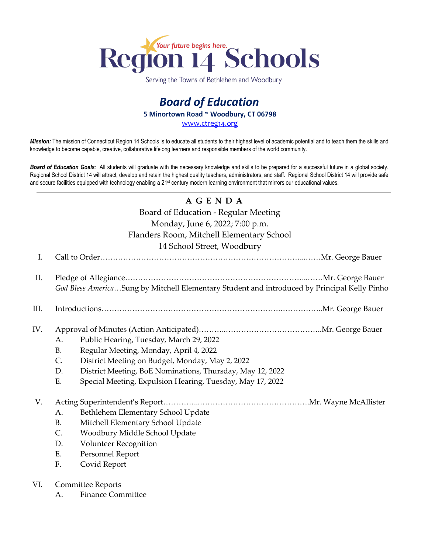

Serving the Towns of Bethlehem and Woodbury

# *Board of Education* **5 Minortown Road ~ Woodbury, CT 06798** [www.ctreg14.org](http://www.ctreg14.org/)

*Mission:* The mission of Connecticut Region 14 Schools is to educate all students to their highest level of academic potential and to teach them the skills and knowledge to become capable, creative, collaborative lifelong learners and responsible members of the world community.

*Board of Education Goals:* All students will graduate with the necessary knowledge and skills to be prepared for a successful future in a global society. Regional School District 14 will attract, develop and retain the highest quality teachers, administrators, and staff. Regional School District 14 will provide safe and secure facilities equipped with technology enabling a 21<sup>st</sup> century modern learning environment that mirrors our educational values.

# **A G E N D A**

Board of Education - Regular Meeting Monday, June 6, 2022; 7:00 p.m.

#### Flanders Room, Mitchell Elementary School

14 School Street, Woodbury

I. Call to Order……………………………………………………………………...……Mr. George Bauer II. Pledge of Allegiance……………………………………………………………...……Mr. George Bauer

*God Bless America*…Sung by Mitchell Elementary Student and introduced by Principal Kelly Pinho

- III. Introductions…………………………………………………………….……………..Mr. George Bauer
- IV. Approval of Minutes (Action Anticipated)………..………………………………..Mr. George Bauer
	- A. Public Hearing, Tuesday, March 29, 2022
	- B. Regular Meeting, Monday, April 4, 2022
	- C. District Meeting on Budget, Monday, May 2, 2022
	- D. District Meeting, BoE Nominations, Thursday, May 12, 2022
	- E. Special Meeting, Expulsion Hearing, Tuesday, May 17, 2022

# V. Acting Superintendent's Report…………...…………………………………….Mr. Wayne McAllister

- A. Bethlehem Elementary School Update
- B. Mitchell Elementary School Update
- C. Woodbury Middle School Update
- D. Volunteer Recognition
- E. Personnel Report
- F. Covid Report

#### VI. Committee Reports

A. Finance Committee